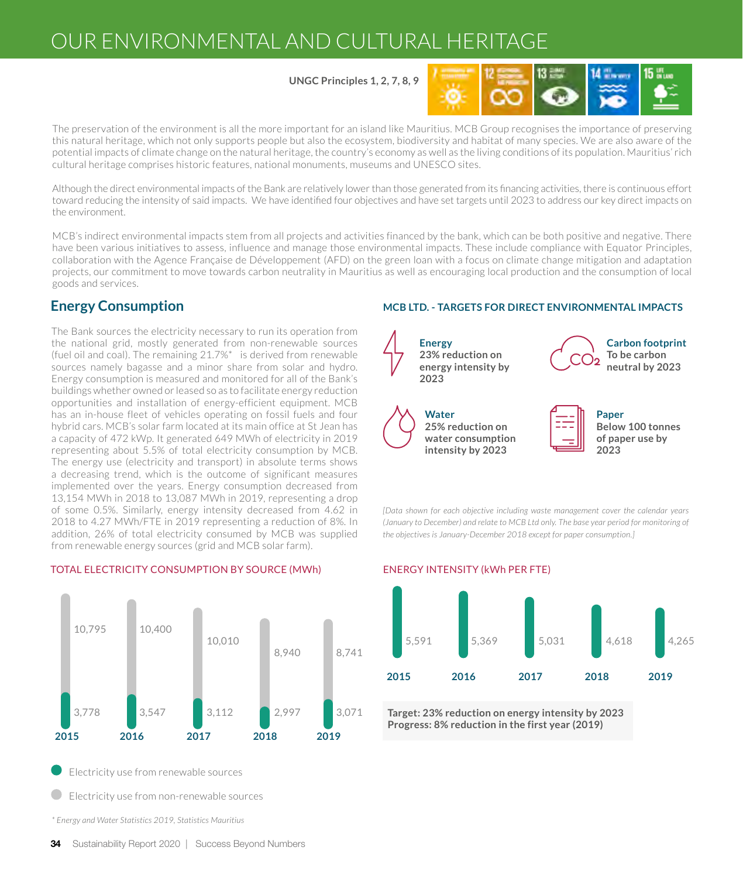# OUR ENVIRONMENTAL AND CULTURAL HERITAGE

**UNGC Principles 1, 2, 7, 8, 9**



The preservation of the environment is all the more important for an island like Mauritius. MCB Group recognises the importance of preserving this natural heritage, which not only supports people but also the ecosystem, biodiversity and habitat of many species. We are also aware of the potential impacts of climate change on the natural heritage, the country's economy as well as the living conditions of its population. Mauritius' rich cultural heritage comprises historic features, national monuments, museums and UNESCO sites.

Although the direct environmental impacts of the Bank are relatively lower than those generated from its financing activities, there is continuous effort toward reducing the intensity of said impacts. We have identified four objectives and have set targets until 2023 to address our key direct impacts on the environment.

MCB's indirect environmental impacts stem from all projects and activities financed by the bank, which can be both positive and negative. There have been various initiatives to assess, influence and manage those environmental impacts. These include compliance with Equator Principles, collaboration with the Agence Française de Développement (AFD) on the green loan with a focus on climate change mitigation and adaptation projects, our commitment to move towards carbon neutrality in Mauritius as well as encouraging local production and the consumption of local goods and services.

The Bank sources the electricity necessary to run its operation from the national grid, mostly generated from non-renewable sources (fuel oil and coal). The remaining 21.7%\* is derived from renewable sources namely bagasse and a minor share from solar and hydro. Energy consumption is measured and monitored for all of the Bank's buildings whether owned or leased so as to facilitate energy reduction opportunities and installation of energy-efficient equipment. MCB has an in-house fleet of vehicles operating on fossil fuels and four hybrid cars. MCB's solar farm located at its main office at St Jean has a capacity of 472 kWp. It generated 649 MWh of electricity in 2019 representing about 5.5% of total electricity consumption by MCB. The energy use (electricity and transport) in absolute terms shows a decreasing trend, which is the outcome of significant measures implemented over the years. Energy consumption decreased from 13,154 MWh in 2018 to 13,087 MWh in 2019, representing a drop of some 0.5%. Similarly, energy intensity decreased from 4.62 in 2018 to 4.27 MWh/FTE in 2019 representing a reduction of 8%. In addition, 26% of total electricity consumed by MCB was supplied from renewable energy sources (grid and MCB solar farm).



### TOTAL ELECTRICITY CONSUMPTION BY SOURCE (MWh) ENERGY INTENSITY (kWh PER FTE)

Electricity use from renewable sources

Electricity use from non-renewable sources

*\* Energy and Water Statistics 2019, Statistics Mauritius*

### **Energy Consumption MCB LTD. - TARGETS FOR DIRECT ENVIRONMENTAL IMPACTS**



*[Data shown for each objective including waste management cover the calendar years (January to December) and relate to MCB Ltd only. The base year period for monitoring of the objectives is January-December 2018 except for paper consumption.]*



**Target: 23% reduction on energy intensity by 2023 Progress: 8% reduction in the first year (2019)**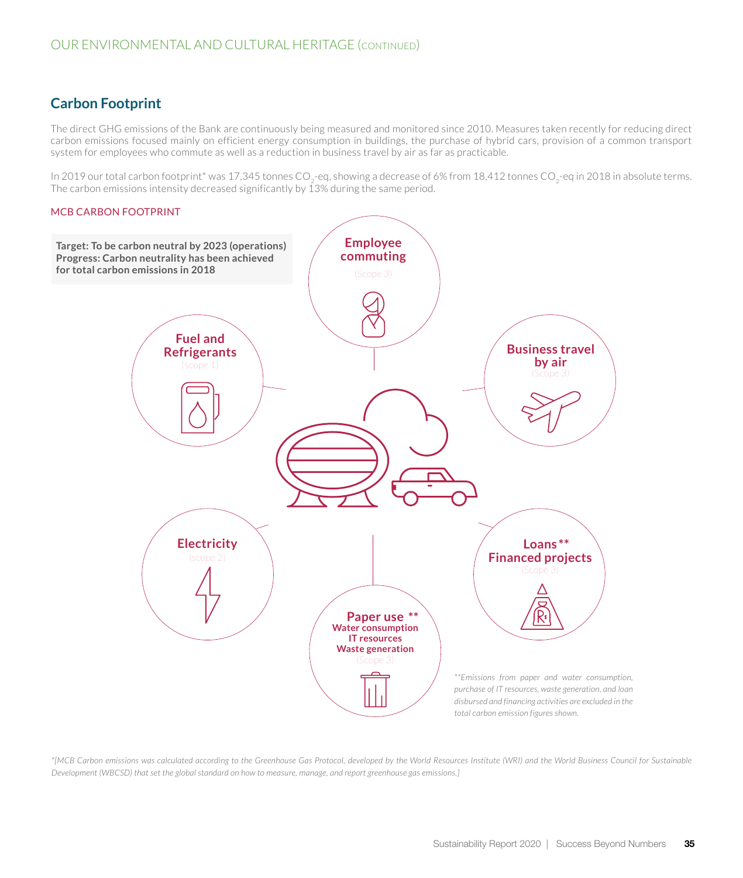# **Carbon Footprint**

The direct GHG emissions of the Bank are continuously being measured and monitored since 2010. Measures taken recently for reducing direct carbon emissions focused mainly on efficient energy consumption in buildings, the purchase of hybrid cars, provision of a common transport system for employees who commute as well as a reduction in business travel by air as far as practicable.

In 2019 our total carbon footprint\* was 17,345 tonnes CO<sub>2</sub>-eq, showing a decrease of 6% from 18,412 tonnes CO<sub>2</sub>-eq in 2018 in absolute terms. The carbon emissions intensity decreased significantly by  $13\%$  during the same period.

#### MCB CARBON FOOTPRINT



*\*[MCB Carbon emissions was calculated according to the Greenhouse Gas Protocol, developed by the World Resources Institute (WRI) and the World Business Council for Sustainable Development (WBCSD) that set the global standard on how to measure, manage, and report greenhouse gas emissions.]*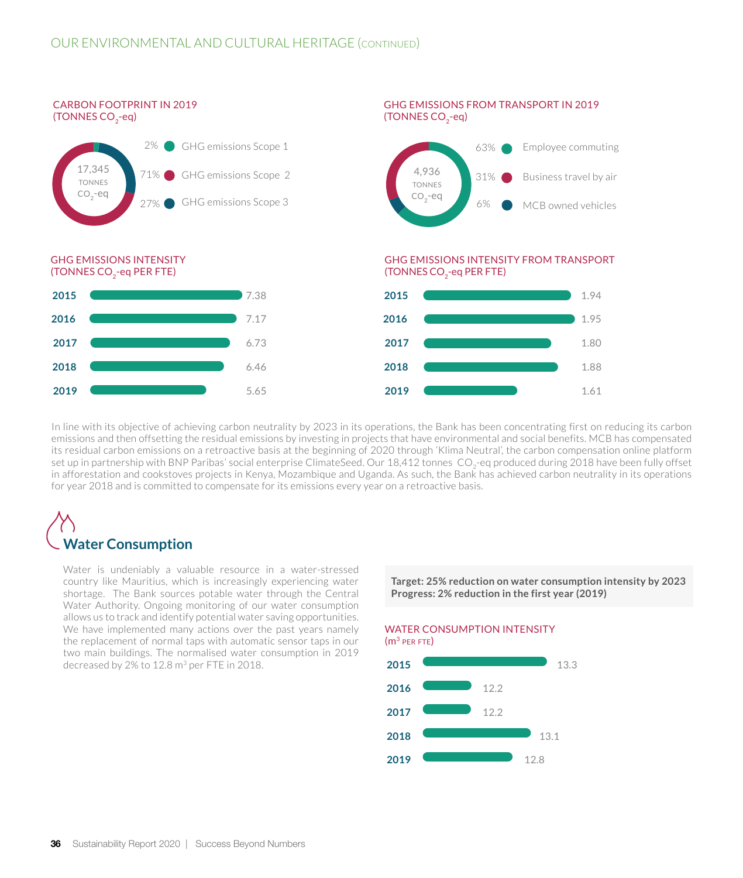

In line with its objective of achieving carbon neutrality by 2023 in its operations, the Bank has been concentrating first on reducing its carbon emissions and then offsetting the residual emissions by investing in projects that have environmental and social benefits. MCB has compensated its residual carbon emissions on a retroactive basis at the beginning of 2020 through 'Klima Neutral', the carbon compensation online platform set up in partnership with BNP Paribas' social enterprise ClimateSeed. Our 18,412 tonnes CO<sub>2</sub>-eq produced during 2018 have been fully offset in afforestation and cookstoves projects in Kenya, Mozambique and Uganda. As such, the Bank has achieved carbon neutrality in its operations for year 2018 and is committed to compensate for its emissions every year on a retroactive basis.

# **Water Consumption**

Water is undeniably a valuable resource in a water-stressed country like Mauritius, which is increasingly experiencing water shortage. The Bank sources potable water through the Central Water Authority. Ongoing monitoring of our water consumption allows us to track and identify potential water saving opportunities. We have implemented many actions over the past years namely the replacement of normal taps with automatic sensor taps in our two main buildings. The normalised water consumption in 2019 decreased by 2% to 12.8 m3 per FTE in 2018. **2015**

**Target: 25% reduction on water consumption intensity by 2023 Progress: 2% reduction in the first year (2019)**

WATER CONSUMPTION INTENSITY



**36** Sustainability Report 2020 | Success Beyond Numbers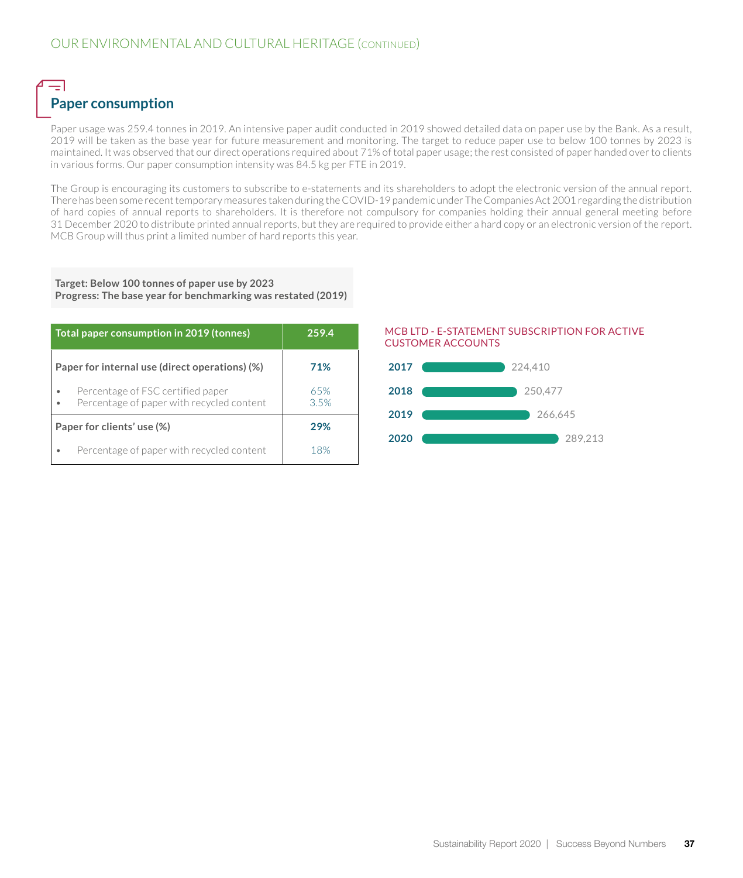# $=$   $\overline{ }$ **Paper consumption**

Paper usage was 259.4 tonnes in 2019. An intensive paper audit conducted in 2019 showed detailed data on paper use by the Bank. As a result, 2019 will be taken as the base year for future measurement and monitoring. The target to reduce paper use to below 100 tonnes by 2023 is maintained. It was observed that our direct operations required about 71% of total paper usage; the rest consisted of paper handed over to clients in various forms. Our paper consumption intensity was 84.5 kg per FTE in 2019.

The Group is encouraging its customers to subscribe to e-statements and its shareholders to adopt the electronic version of the annual report. There has been some recent temporary measures taken during the COVID-19 pandemic under The Companies Act 2001 regarding the distribution of hard copies of annual reports to shareholders. It is therefore not compulsory for companies holding their annual general meeting before 31 December 2020 to distribute printed annual reports, but they are required to provide either a hard copy or an electronic version of the report. MCB Group will thus print a limited number of hard reports this year.

#### **Target: Below 100 tonnes of paper use by 2023 Progress: The base year for benchmarking was restated (2019)**

| Total paper consumption in 2019 (tonnes)                                       | 259.4       |  |
|--------------------------------------------------------------------------------|-------------|--|
| Paper for internal use (direct operations) (%)                                 | 71%         |  |
| Percentage of FSC certified paper<br>Percentage of paper with recycled content | 65%<br>3.5% |  |
| Paper for clients' use (%)                                                     | 29%         |  |
| Percentage of paper with recycled content                                      | 18%         |  |

#### MCB LTD - E-STATEMENT SUBSCRIPTION FOR ACTIVE CUSTOMER ACCOUNTS

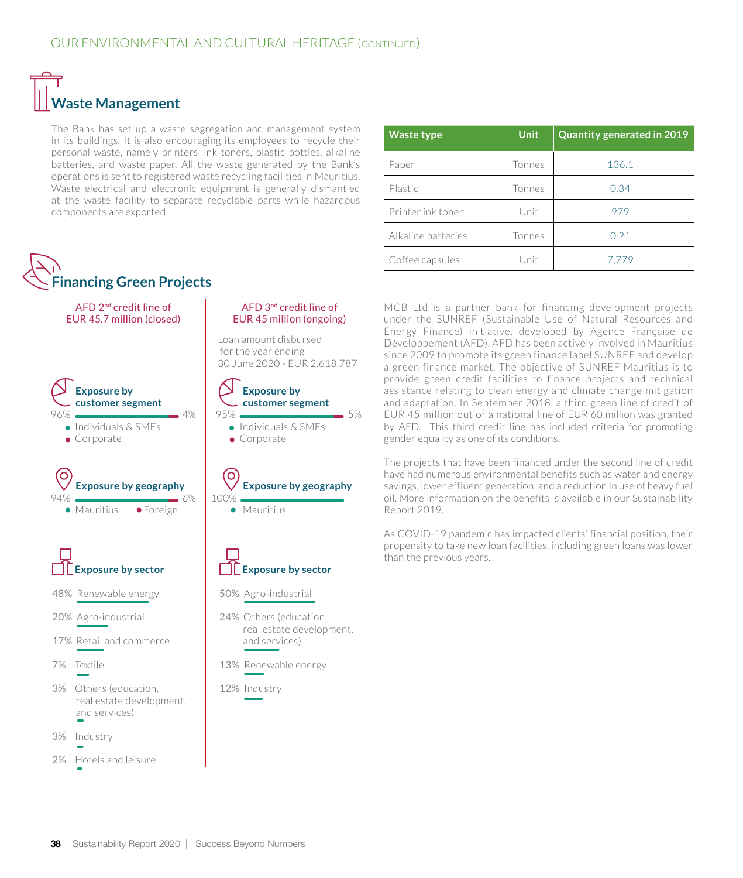# **Waste Management**

The Bank has set up a waste segregation and management system in its buildings. It is also encouraging its employees to recycle their personal waste, namely printers' ink toners, plastic bottles, alkaline batteries, and waste paper. All the waste generated by the Bank's operations is sent to registered waste recycling facilities in Mauritius. Waste electrical and electronic equipment is generally dismantled at the waste facility to separate recyclable parts while hazardous components are exported.



| <b>Waste type</b>  | <b>Unit</b> | <b>Quantity generated in 2019</b> |
|--------------------|-------------|-----------------------------------|
| Paper              | Tonnes      | 136.1                             |
| Plastic            | Tonnes      | 0.34                              |
| Printer ink toner  | Unit        | 979                               |
| Alkaline batteries | Tonnes      | 0.21                              |
| Coffee capsules    | Unit        | 7.779                             |

MCB Ltd is a partner bank for financing development projects under the SUNREF (Sustainable Use of Natural Resources and Energy Finance) initiative, developed by Agence Française de Développement (AFD). AFD has been actively involved in Mauritius since 2009 to promote its green finance label SUNREF and develop a green finance market. The objective of SUNREF Mauritius is to provide green credit facilities to finance projects and technical assistance relating to clean energy and climate change mitigation and adaptation. In September 2018, a third green line of credit of EUR 45 million out of a national line of EUR 60 million was granted by AFD. This third credit line has included criteria for promoting gender equality as one of its conditions.

The projects that have been financed under the second line of credit have had numerous environmental benefits such as water and energy savings, lower effluent generation, and a reduction in use of heavy fuel oil. More information on the benefits is available in our Sustainability Report 2019.

As COVID-19 pandemic has impacted clients' financial position, their propensity to take new loan facilities, including green loans was lower than the previous years.

#### 38 Sustainability Report 2020 | Success Beyond Numbers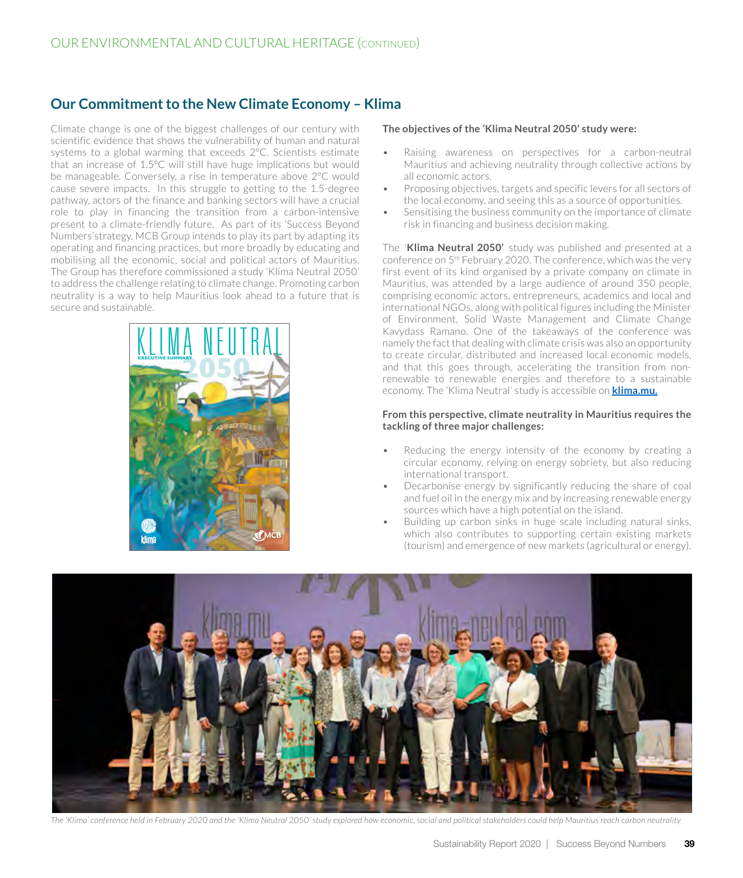# **Our Commitment to the New Climate Economy – Klima**

Climate change is one of the biggest challenges of our century with scientific evidence that shows the vulnerability of human and natural systems to a global warming that exceeds 2°C. Scientists estimate that an increase of 1.5°C will still have huge implications but would be manageable. Conversely, a rise in temperature above 2°C would cause severe impacts. In this struggle to getting to the 1.5-degree pathway, actors of the finance and banking sectors will have a crucial role to play in financing the transition from a carbon-intensive present to a climate-friendly future. As part of its 'Success Beyond Numbers'strategy, MCB Group intends to play its part by adapting its operating and financing practices, but more broadly by educating and mobilising all the economic, social and political actors of Mauritius. The Group has therefore commissioned a study 'Klima Neutral 2050' to address the challenge relating to climate change. Promoting carbon neutrality is a way to help Mauritius look ahead to a future that is secure and sustainable.



#### **The objectives of the 'Klima Neutral 2050' study were:**

- Raising awareness on perspectives for a carbon-neutral Mauritius and achieving neutrality through collective actions by all economic actors.
- Proposing objectives, targets and specific levers for all sectors of the local economy, and seeing this as a source of opportunities.
- Sensitising the business community on the importance of climate risk in financing and business decision making.

The '**Klima Neutral 2050'** study was published and presented at a conference on 5th February 2020. The conference, which was the very first event of its kind organised by a private company on climate in Mauritius, was attended by a large audience of around 350 people, comprising economic actors, entrepreneurs, academics and local and international NGOs, along with political figures including the Minister of Environment, Solid Waste Management and Climate Change Kavydass Ramano. One of the takeaways of the conference was namely the fact that dealing with climate crisis was also an opportunity to create circular, distributed and increased local economic models, and that this goes through, accelerating the transition from nonrenewable to renewable energies and therefore to a sustainable economy. The 'Klima Neutral' study is accessible on **[klima.mu.](https://www.klima.mu/)**

#### **From this perspective, climate neutrality in Mauritius requires the tackling of three major challenges:**

- Reducing the energy intensity of the economy by creating a circular economy, relying on energy sobriety, but also reducing international transport.
- Decarbonise energy by significantly reducing the share of coal and fuel oil in the energy mix and by increasing renewable energy sources which have a high potential on the island.
- Building up carbon sinks in huge scale including natural sinks, which also contributes to supporting certain existing markets (tourism) and emergence of new markets (agricultural or energy). **<sup>1</sup>**



*The 'Klima' conference held in February 2020 and the 'Klima Neutral 2050' study explored how economic, social and political stakeholders could help Mauritius reach carbon neutrality*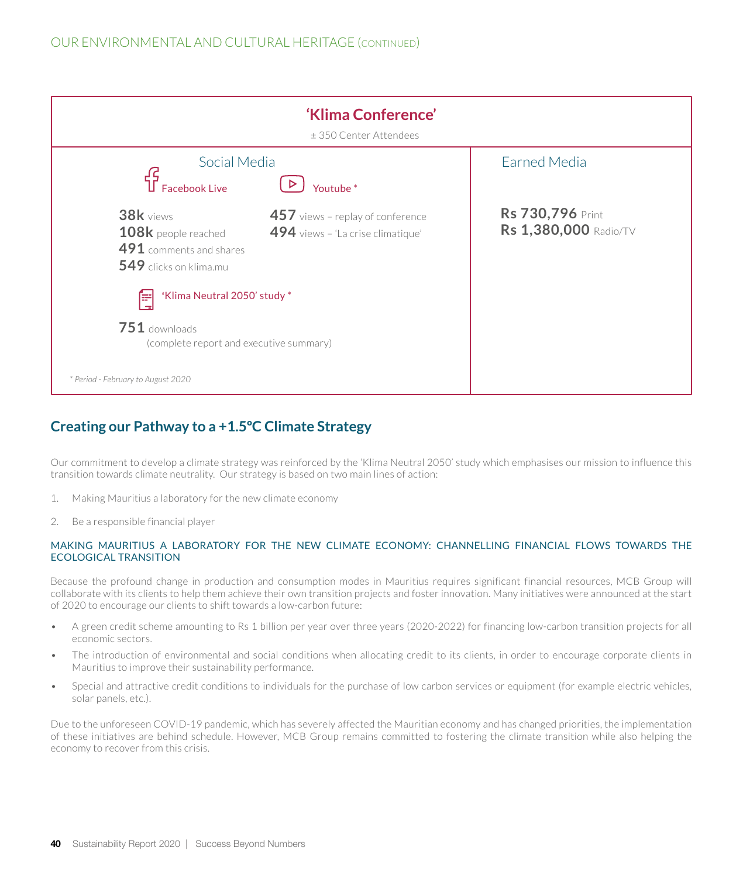

# **Creating our Pathway to a +1.5ºC Climate Strategy**

Our commitment to develop a climate strategy was reinforced by the 'Klima Neutral 2050' study which emphasises our mission to influence this transition towards climate neutrality. Our strategy is based on two main lines of action:

- 1. Making Mauritius a laboratory for the new climate economy
- 2. Be a responsible financial player

#### MAKING MAURITIUS A LABORATORY FOR THE NEW CLIMATE ECONOMY: CHANNELLING FINANCIAL FLOWS TOWARDS THE ECOLOGICAL TRANSITION

Because the profound change in production and consumption modes in Mauritius requires significant financial resources, MCB Group will collaborate with its clients to help them achieve their own transition projects and foster innovation. Many initiatives were announced at the start of 2020 to encourage our clients to shift towards a low-carbon future:

- A green credit scheme amounting to Rs 1 billion per year over three years (2020-2022) for financing low-carbon transition projects for all economic sectors.
- The introduction of environmental and social conditions when allocating credit to its clients, in order to encourage corporate clients in Mauritius to improve their sustainability performance.
- Special and attractive credit conditions to individuals for the purchase of low carbon services or equipment (for example electric vehicles, solar panels, etc.).

Due to the unforeseen COVID-19 pandemic, which has severely affected the Mauritian economy and has changed priorities, the implementation of these initiatives are behind schedule. However, MCB Group remains committed to fostering the climate transition while also helping the economy to recover from this crisis.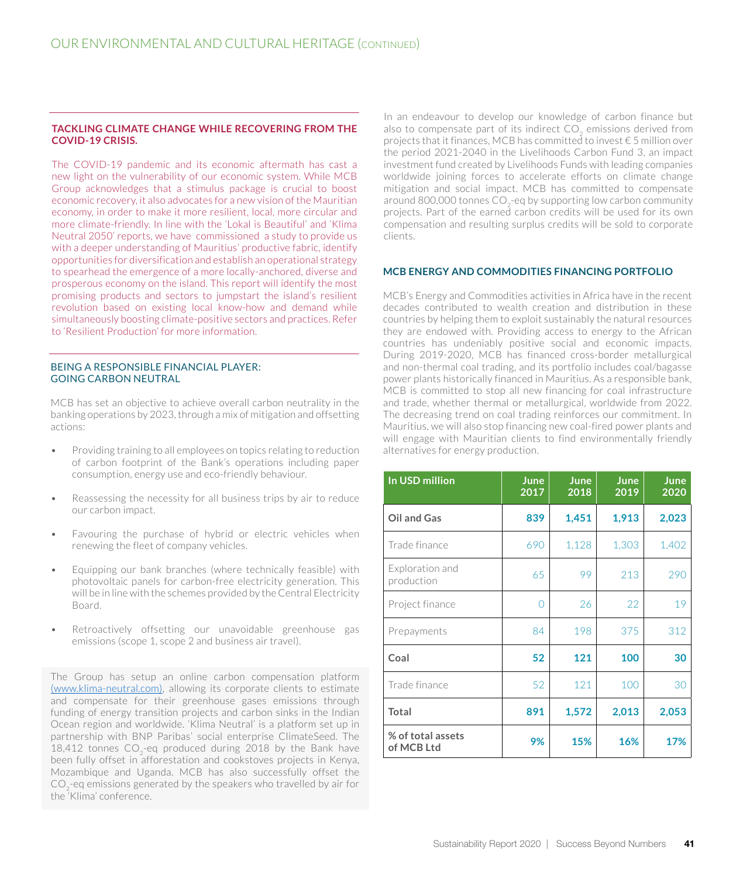#### **TACKLING CLIMATE CHANGE WHILE RECOVERING FROM THE COVID-19 CRISIS.**

The COVID-19 pandemic and its economic aftermath has cast a new light on the vulnerability of our economic system. While MCB Group acknowledges that a stimulus package is crucial to boost economic recovery, it also advocates for a new vision of the Mauritian economy, in order to make it more resilient, local, more circular and more climate-friendly. In line with the 'Lokal is Beautiful' and 'Klima Neutral 2050' reports, we have commissioned a study to provide us with a deeper understanding of Mauritius' productive fabric, identify opportunities for diversification and establish an operational strategy to spearhead the emergence of a more locally-anchored, diverse and prosperous economy on the island. This report will identify the most promising products and sectors to jumpstart the island's resilient revolution based on existing local know-how and demand while simultaneously boosting climate-positive sectors and practices. Refer to 'Resilient Production' for more information.

#### BEING A RESPONSIBLE FINANCIAL PLAYER: GOING CARBON NEUTRAL

MCB has set an objective to achieve overall carbon neutrality in the banking operations by 2023, through a mix of mitigation and offsetting actions:

- Providing training to all employees on topics relating to reduction of carbon footprint of the Bank's operations including paper consumption, energy use and eco-friendly behaviour.
- Reassessing the necessity for all business trips by air to reduce our carbon impact.
- Favouring the purchase of hybrid or electric vehicles when renewing the fleet of company vehicles.
- Equipping our bank branches (where technically feasible) with photovoltaic panels for carbon-free electricity generation. This will be in line with the schemes provided by the Central Electricity Board.
- Retroactively offsetting our unavoidable greenhouse gas emissions (scope 1, scope 2 and business air travel).

The Group has setup an online carbon compensation platform [\(www.klima-neutral.com\),](https://klima-neutral.com/) allowing its corporate clients to estimate and compensate for their greenhouse gases emissions through funding of energy transition projects and carbon sinks in the Indian Ocean region and worldwide. 'Klima Neutral' is a platform set up in partnership with BNP Paribas' social enterprise ClimateSeed. The 18,412 tonnes  $CO<sub>2</sub>$ -eq produced during 2018 by the Bank have been fully offset in afforestation and cookstoves projects in Kenya, Mozambique and Uganda. MCB has also successfully offset the  $CO<sub>2</sub>$ -eq emissions generated by the speakers who travelled by air for the 'Klima' conference.

In an endeavour to develop our knowledge of carbon finance but also to compensate part of its indirect CO<sub>2</sub> emissions derived from projects that it finances, MCB has committed to invest € 5 million over the period 2021-2040 in the Livelihoods Carbon Fund 3, an impact investment fund created by Livelihoods Funds with leading companies worldwide joining forces to accelerate efforts on climate change mitigation and social impact. MCB has committed to compensate around 800,000 tonnes  $CO<sub>2</sub>$ -eq by supporting low carbon community projects. Part of the earned carbon credits will be used for its own compensation and resulting surplus credits will be sold to corporate clients.

#### **MCB ENERGY AND COMMODITIES FINANCING PORTFOLIO**

MCB's Energy and Commodities activities in Africa have in the recent decades contributed to wealth creation and distribution in these countries by helping them to exploit sustainably the natural resources they are endowed with. Providing access to energy to the African countries has undeniably positive social and economic impacts. During 2019-2020, MCB has financed cross-border metallurgical and non-thermal coal trading, and its portfolio includes coal/bagasse power plants historically financed in Mauritius. As a responsible bank, MCB is committed to stop all new financing for coal infrastructure and trade, whether thermal or metallurgical, worldwide from 2022. The decreasing trend on coal trading reinforces our commitment. In Mauritius, we will also stop financing new coal-fired power plants and will engage with Mauritian clients to find environmentally friendly alternatives for energy production.

| In USD million                  | June<br>2017 | June<br>2018 | June<br>2019 | June<br>2020 |
|---------------------------------|--------------|--------------|--------------|--------------|
| Oil and Gas                     | 839          | 1,451        | 1,913        | 2,023        |
| Trade finance                   | 690          | 1,128        | 1,303        | 1,402        |
| Exploration and<br>production   | 65           | 99           | 213          | 290          |
| Project finance                 | Ω            | 26           | 22           | 19           |
| Prepayments                     | 84           | 198          | 375          | 312          |
| Coal                            | 52           | 121          | 100          | 30           |
| Trade finance                   | 52           | 121          | 100          | 30           |
| Total                           | 891          | 1,572        | 2,013        | 2,053        |
| % of total assets<br>of MCB Ltd | 9%           | 15%          | 16%          | 17%          |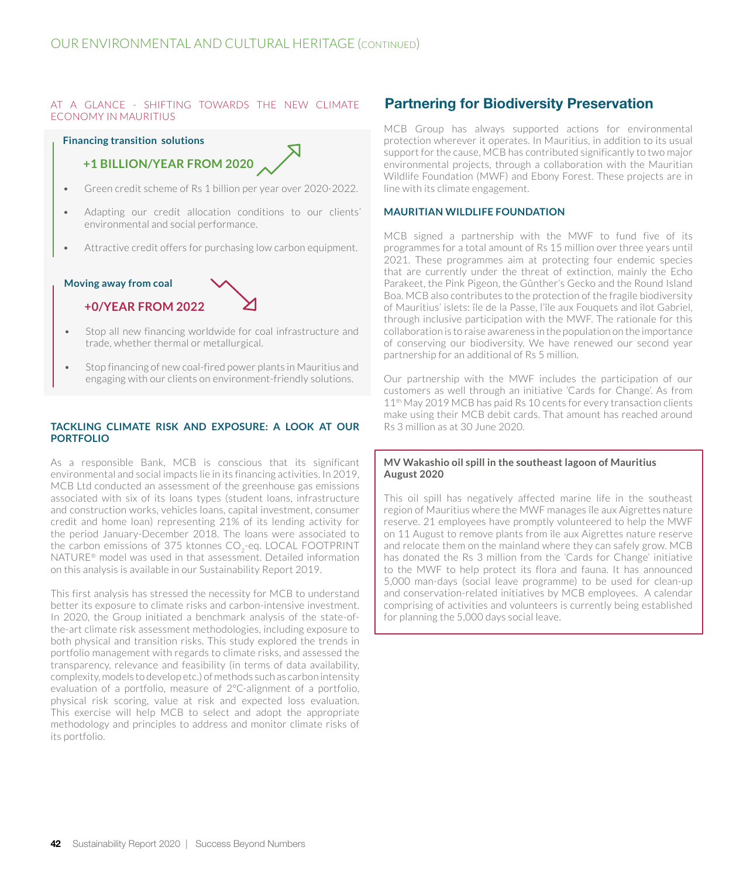#### AT A GLANCE - SHIFTING TOWARDS THE NEW CLIMATE ECONOMY IN MAURITIUS

#### **Financing transition solutions**



- Green credit scheme of Rs 1 billion per year over 2020-2022.
- Adapting our credit allocation conditions to our clients' environmental and social performance.
- Attractive credit offers for purchasing low carbon equipment.

# **Moving away from coal +0/YEAR FROM 2022**

- Stop all new financing worldwide for coal infrastructure and trade, whether thermal or metallurgical.
- Stop financing of new coal-fired power plants in Mauritius and engaging with our clients on environment-friendly solutions.

#### **TACKLING CLIMATE RISK AND EXPOSURE: A LOOK AT OUR PORTFOLIO**

As a responsible Bank, MCB is conscious that its significant environmental and social impacts lie in its financing activities. In 2019, MCB Ltd conducted an assessment of the greenhouse gas emissions associated with six of its loans types (student loans, infrastructure and construction works, vehicles loans, capital investment, consumer credit and home loan) representing 21% of its lending activity for the period January-December 2018. The loans were associated to the carbon emissions of 375 ktonnes CO<sub>2</sub>-eq. LOCAL FOOTPRINT NATURE® model was used in that assessment. Detailed information on this analysis is available in our Sustainability Report 2019.

This first analysis has stressed the necessity for MCB to understand better its exposure to climate risks and carbon-intensive investment. In 2020, the Group initiated a benchmark analysis of the state-ofthe-art climate risk assessment methodologies, including exposure to both physical and transition risks. This study explored the trends in portfolio management with regards to climate risks, and assessed the transparency, relevance and feasibility (in terms of data availability, complexity, models to develop etc.) of methods such as carbon intensity evaluation of a portfolio, measure of 2°C-alignment of a portfolio, physical risk scoring, value at risk and expected loss evaluation. This exercise will help MCB to select and adopt the appropriate methodology and principles to address and monitor climate risks of its portfolio.

# Partnering for Biodiversity Preservation

MCB Group has always supported actions for environmental protection wherever it operates. In Mauritius, in addition to its usual support for the cause, MCB has contributed significantly to two major environmental projects, through a collaboration with the Mauritian Wildlife Foundation (MWF) and Ebony Forest. These projects are in line with its climate engagement.

#### **MAURITIAN WILDLIFE FOUNDATION**

MCB signed a partnership with the MWF to fund five of its programmes for a total amount of Rs 15 million over three years until 2021. These programmes aim at protecting four endemic species that are currently under the threat of extinction, mainly the Echo Parakeet, the Pink Pigeon, the Gûnther's Gecko and the Round Island Boa. MCB also contributes to the protection of the fragile biodiversity of Mauritius' islets: île de la Passe, l'île aux Fouquets and îlot Gabriel, through inclusive participation with the MWF. The rationale for this collaboration is to raise awareness in the population on the importance of conserving our biodiversity. We have renewed our second year partnership for an additional of Rs 5 million.

Our partnership with the MWF includes the participation of our customers as well through an initiative 'Cards for Change'. As from 11<sup>th</sup> May 2019 MCB has paid Rs 10 cents for every transaction clients make using their MCB debit cards. That amount has reached around Rs 3 million as at 30 June 2020.

#### **MV Wakashio oil spill in the southeast lagoon of Mauritius August 2020**

This oil spill has negatively affected marine life in the southeast region of Mauritius where the MWF manages île aux Aigrettes nature reserve. 21 employees have promptly volunteered to help the MWF on 11 August to remove plants from île aux Aigrettes nature reserve and relocate them on the mainland where they can safely grow. MCB has donated the Rs 3 million from the 'Cards for Change' initiative to the MWF to help protect its flora and fauna. It has announced 5,000 man-days (social leave programme) to be used for clean-up and conservation-related initiatives by MCB employees. A calendar comprising of activities and volunteers is currently being established for planning the 5,000 days social leave.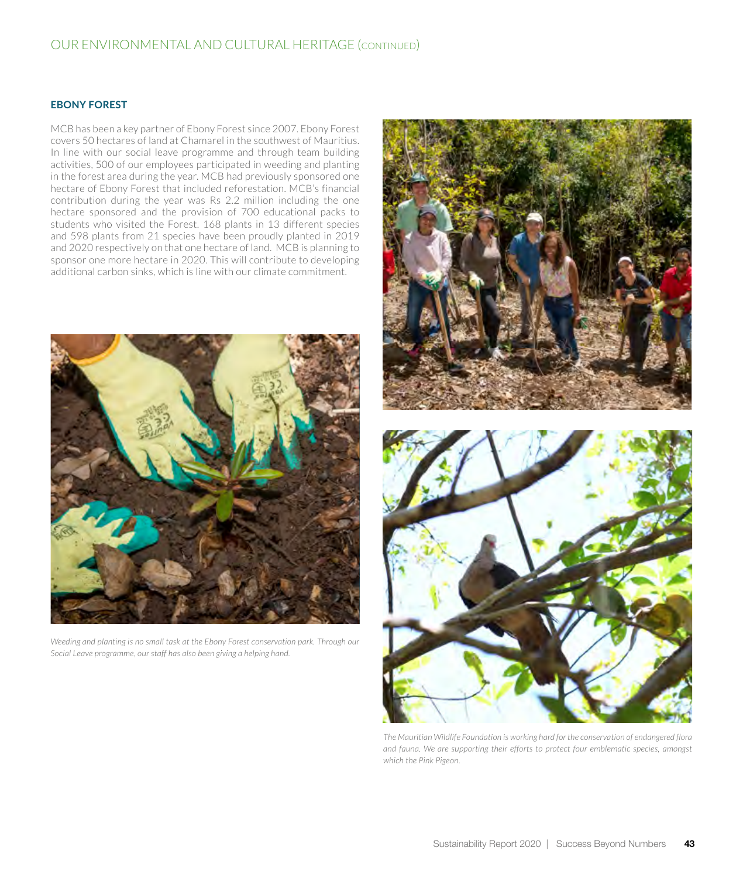## OUR ENVIRONMENTAL AND CULTURAL HERITAGE (continued)

#### **EBONY FOREST**

MCB has been a key partner of Ebony Forest since 2007. Ebony Forest covers 50 hectares of land at Chamarel in the southwest of Mauritius. In line with our social leave programme and through team building activities, 500 of our employees participated in weeding and planting in the forest area during the year. MCB had previously sponsored one hectare of Ebony Forest that included reforestation. MCB's financial contribution during the year was Rs 2.2 million including the one hectare sponsored and the provision of 700 educational packs to students who visited the Forest. 168 plants in 13 different species and 598 plants from 21 species have been proudly planted in 2019 and 2020 respectively on that one hectare of land. MCB is planning to sponsor one more hectare in 2020. This will contribute to developing additional carbon sinks, which is line with our climate commitment.



*Weeding and planting is no small task at the Ebony Forest conservation park. Through our Social Leave programme, our staff has also been giving a helping hand.*



*The Mauritian Wildlife Foundation is working hard for the conservation of endangered flora and fauna. We are supporting their efforts to protect four emblematic species, amongst which the Pink Pigeon.*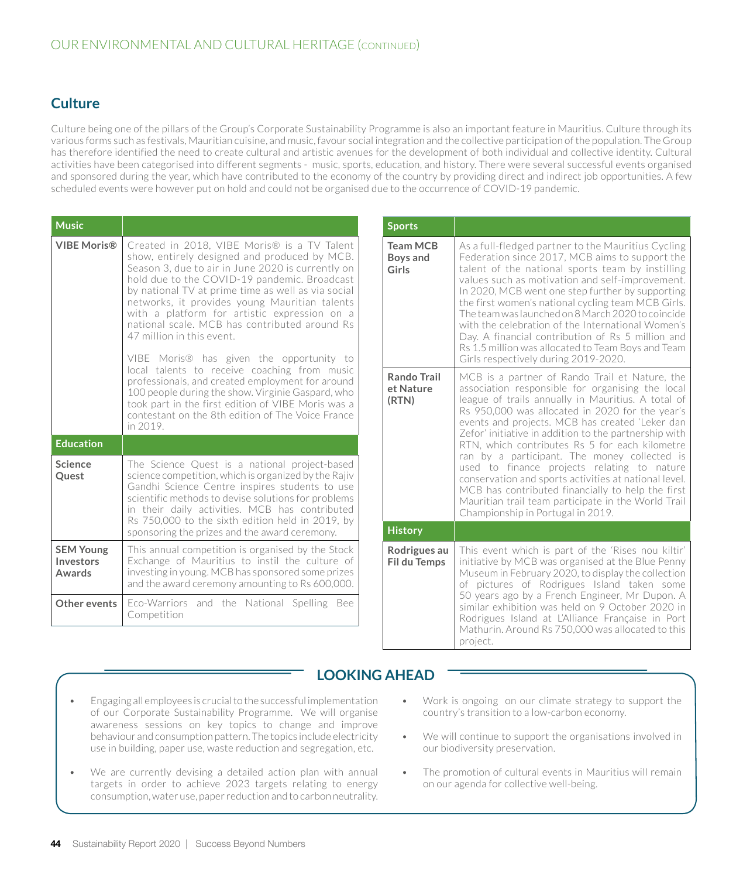# **Culture**

Culture being one of the pillars of the Group's Corporate Sustainability Programme is also an important feature in Mauritius. Culture through its various forms such as festivals, Mauritian cuisine, and music, favour social integration and the collective participation of the population. The Group has therefore identified the need to create cultural and artistic avenues for the development of both individual and collective identity. Cultural activities have been categorised into different segments - music, sports, education, and history. There were several successful events organised and sponsored during the year, which have contributed to the economy of the country by providing direct and indirect job opportunities. A few scheduled events were however put on hold and could not be organised due to the occurrence of COVID-19 pandemic.

| <b>Music</b>                            |                                                                                                                                                                                                                                                                                                                                                                                                                                                                                               | <b>Sports</b>                                                                    |                                                                                                                                                                                                                                                                                                                                                                                                                                                                                                                                                                                    |
|-----------------------------------------|-----------------------------------------------------------------------------------------------------------------------------------------------------------------------------------------------------------------------------------------------------------------------------------------------------------------------------------------------------------------------------------------------------------------------------------------------------------------------------------------------|----------------------------------------------------------------------------------|------------------------------------------------------------------------------------------------------------------------------------------------------------------------------------------------------------------------------------------------------------------------------------------------------------------------------------------------------------------------------------------------------------------------------------------------------------------------------------------------------------------------------------------------------------------------------------|
| <b>VIBE Moris®</b>                      | Created in 2018, VIBE Moris® is a TV Talent<br>show, entirely designed and produced by MCB.<br>Season 3, due to air in June 2020 is currently on<br>hold due to the COVID-19 pandemic. Broadcast<br>by national TV at prime time as well as via social<br>networks, it provides young Mauritian talents<br>with a platform for artistic expression on a<br>national scale. MCB has contributed around Rs<br>47 million in this event.<br>VIBE Moris <sup>®</sup> has given the opportunity to | <b>Team MCB</b><br>Boys and<br>Girls<br><b>Rando Trail</b><br>et Nature<br>(RTN) | As a full-fledged partner to the Mauritius Cycling<br>Federation since 2017, MCB aims to support the<br>talent of the national sports team by instilling<br>values such as motivation and self-improvement.<br>In 2020, MCB went one step further by supporting<br>the first women's national cycling team MCB Girls.<br>The team was launched on 8 March 2020 to coincide<br>with the celebration of the International Women's<br>Day. A financial contribution of Rs 5 million and<br>Rs 1.5 million was allocated to Team Boys and Team<br>Girls respectively during 2019-2020. |
|                                         | local talents to receive coaching from music<br>professionals, and created employment for around<br>100 people during the show. Virginie Gaspard, who<br>took part in the first edition of VIBE Moris was a<br>contestant on the 8th edition of The Voice France<br>in 2019.                                                                                                                                                                                                                  |                                                                                  | MCB is a partner of Rando Trail et Nature, the<br>association responsible for organising the local<br>league of trails annually in Mauritius. A total of<br>Rs 950,000 was allocated in 2020 for the year's<br>events and projects. MCB has created 'Leker dan<br>Zefor' initiative in addition to the partnership with<br>RTN, which contributes Rs 5 for each kilometre<br>ran by a participant. The money collected is                                                                                                                                                          |
| <b>Education</b>                        |                                                                                                                                                                                                                                                                                                                                                                                                                                                                                               |                                                                                  |                                                                                                                                                                                                                                                                                                                                                                                                                                                                                                                                                                                    |
| Science<br>Quest                        | The Science Quest is a national project-based<br>science competition, which is organized by the Rajiv<br>Gandhi Science Centre inspires students to use<br>scientific methods to devise solutions for problems<br>in their daily activities. MCB has contributed<br>Rs 750,000 to the sixth edition held in 2019, by                                                                                                                                                                          |                                                                                  | used to finance projects relating to nature<br>conservation and sports activities at national level.<br>MCB has contributed financially to help the first<br>Mauritian trail team participate in the World Trail<br>Championship in Portugal in 2019.                                                                                                                                                                                                                                                                                                                              |
|                                         | sponsoring the prizes and the award ceremony.                                                                                                                                                                                                                                                                                                                                                                                                                                                 | <b>History</b>                                                                   |                                                                                                                                                                                                                                                                                                                                                                                                                                                                                                                                                                                    |
| <b>SEM Young</b><br>Investors<br>Awards | This annual competition is organised by the Stock<br>Exchange of Mauritius to instil the culture of<br>investing in young. MCB has sponsored some prizes<br>and the award ceremony amounting to Rs 600,000.                                                                                                                                                                                                                                                                                   | Rodrigues au<br><b>Fil du Temps</b>                                              | This event which is part of the 'Rises nou kiltir'<br>initiative by MCB was organised at the Blue Penny<br>Museum in February 2020, to display the collection<br>of pictures of Rodrigues Island taken some                                                                                                                                                                                                                                                                                                                                                                        |
| Other events                            | Eco-Warriors and the National Spelling Bee<br>Competition                                                                                                                                                                                                                                                                                                                                                                                                                                     |                                                                                  | 50 years ago by a French Engineer, Mr Dupon. A<br>similar exhibition was held on 9 October 2020 in<br>Rodrigues Island at L'Alliance Française in Port<br>Mathurin. Around Rs 750,000 was allocated to this                                                                                                                                                                                                                                                                                                                                                                        |

# **LOOKING AHEAD**

- Engaging all employees is crucial to the successful implementation of our Corporate Sustainability Programme. We will organise awareness sessions on key topics to change and improve behaviour and consumption pattern. The topics include electricity use in building, paper use, waste reduction and segregation, etc.
- We are currently devising a detailed action plan with annual targets in order to achieve 2023 targets relating to energy consumption, water use, paper reduction and to carbon neutrality.
- Work is ongoing on our climate strategy to support the country's transition to a low-carbon economy.

project.

- We will continue to support the organisations involved in our biodiversity preservation.
- The promotion of cultural events in Mauritius will remain on our agenda for collective well-being.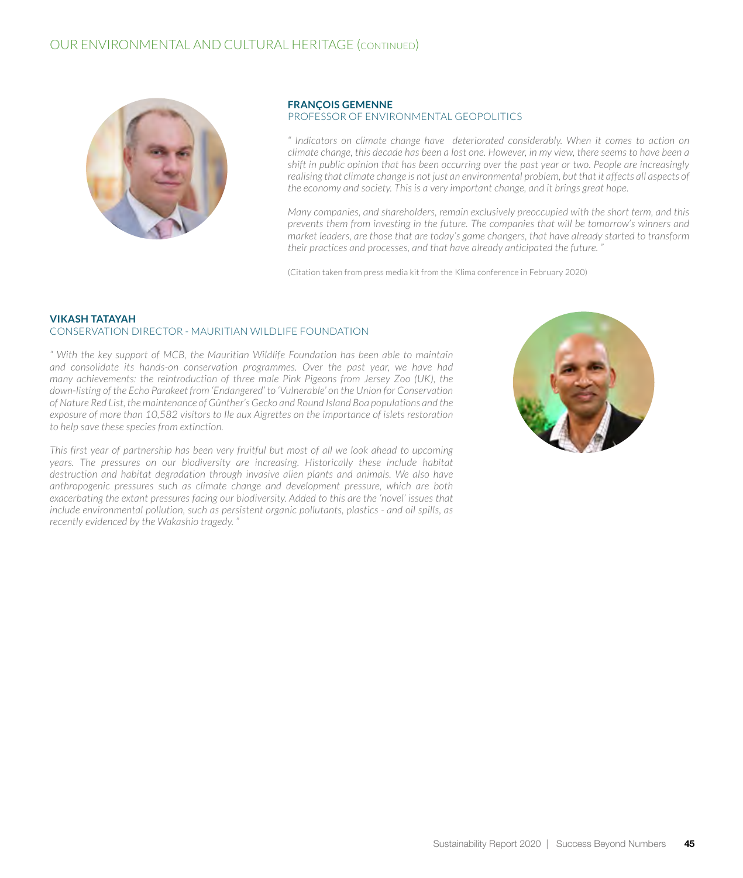

#### **FRANÇOIS GEMENNE**  PROFESSOR OF ENVIRONMENTAL GEOPOLITICS

*" Indicators on climate change have deteriorated considerably. When it comes to action on climate change, this decade has been a lost one. However, in my view, there seems to have been a shift in public opinion that has been occurring over the past year or two. People are increasingly realising that climate change is not just an environmental problem, but that it affects all aspects of the economy and society. This is a very important change, and it brings great hope.*

*Many companies, and shareholders, remain exclusively preoccupied with the short term, and this prevents them from investing in the future. The companies that will be tomorrow's winners and market leaders, are those that are today's game changers, that have already started to transform their practices and processes, and that have already anticipated the future. "*

(Citation taken from press media kit from the Klima conference in February 2020)

#### **VIKASH TATAYAH** CONSERVATION DIRECTOR - MAURITIAN WILDLIFE FOUNDATION

*" With the key support of MCB, the Mauritian Wildlife Foundation has been able to maintain and consolidate its hands-on conservation programmes. Over the past year, we have had many achievements: the reintroduction of three male Pink Pigeons from Jersey Zoo (UK), the down-listing of the Echo Parakeet from 'Endangered' to 'Vulnerable' on the Union for Conservation of Nature Red List, the maintenance of Gûnther's Gecko and Round Island Boa populations and the exposure of more than 10,582 visitors to Ile aux Aigrettes on the importance of islets restoration to help save these species from extinction.* 

*This first year of partnership has been very fruitful but most of all we look ahead to upcoming years. The pressures on our biodiversity are increasing. Historically these include habitat destruction and habitat degradation through invasive alien plants and animals. We also have anthropogenic pressures such as climate change and development pressure, which are both exacerbating the extant pressures facing our biodiversity. Added to this are the 'novel' issues that include environmental pollution, such as persistent organic pollutants, plastics - and oil spills, as recently evidenced by the Wakashio tragedy. "*

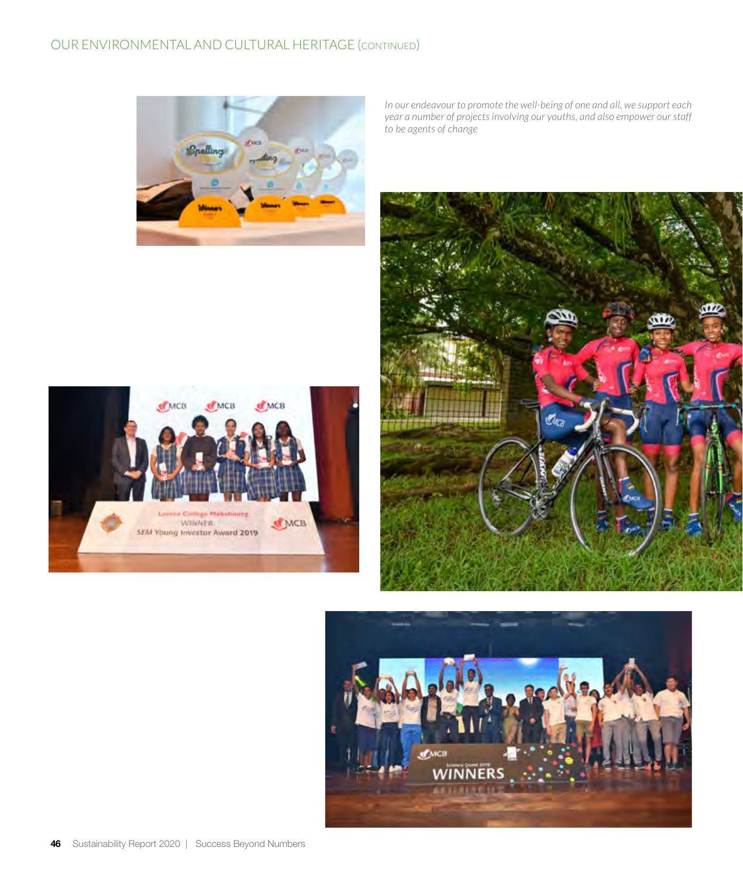

*In our endeavour to promote the well-being of one and all, we support each year a number of projects involving our youths, and also empower our staff to be agents of change*